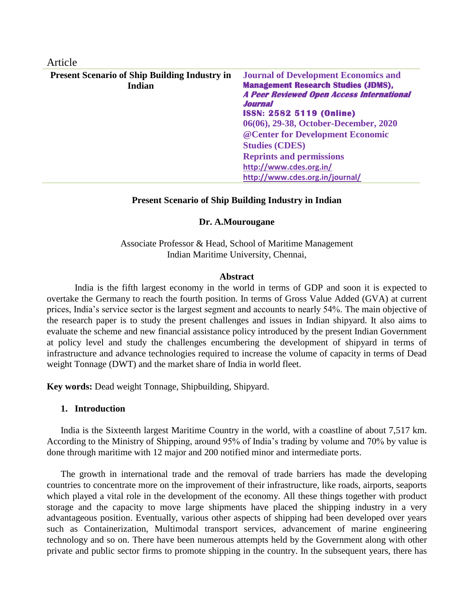| Article |  |
|---------|--|
|         |  |
|         |  |

| <b>Present Scenario of Ship Building Industry in</b> | <b>Journal of Development Economics and</b>                 |
|------------------------------------------------------|-------------------------------------------------------------|
| Indian                                               | <b>Management Research Studies (JDMS),</b>                  |
|                                                      | <b>A Peer Reviewed Open Access International</b><br>Journal |
|                                                      | <b>ISSN: 2582 5119 (Online)</b>                             |
|                                                      | 06(06), 29-38, October-December, 2020                       |
|                                                      | @ Center for Development Economic                           |
|                                                      | <b>Studies (CDES)</b>                                       |
|                                                      | <b>Reprints and permissions</b>                             |
|                                                      | http://www.cdes.org.in/                                     |
|                                                      | http://www.cdes.org.in/journal/                             |

#### **Present Scenario of Ship Building Industry in Indian**

#### **Dr. A.Mourougane**

Associate Professor & Head, School of Maritime Management Indian Maritime University, Chennai,

#### **Abstract**

India is the fifth largest economy in the world in terms of GDP and soon it is expected to overtake the Germany to reach the fourth position. In terms of Gross Value Added (GVA) at current prices, India's service sector is the largest segment and accounts to nearly 54%. The main objective of the research paper is to study the present challenges and issues in Indian shipyard. It also aims to evaluate the scheme and new financial assistance policy introduced by the present Indian Government at policy level and study the challenges encumbering the development of shipyard in terms of infrastructure and advance technologies required to increase the volume of capacity in terms of Dead weight Tonnage (DWT) and the market share of India in world fleet.

**Key words:** Dead weight Tonnage, Shipbuilding, Shipyard.

#### **1. Introduction**

India is the Sixteenth largest Maritime Country in the world, with a coastline of about 7,517 km. According to the Ministry of Shipping, around 95% of India's trading by volume and 70% by value is done through maritime with 12 major and 200 notified minor and intermediate ports.

The growth in international trade and the removal of trade barriers has made the developing countries to concentrate more on the improvement of their infrastructure, like roads, airports, seaports which played a vital role in the development of the economy. All these things together with product storage and the capacity to move large shipments have placed the shipping industry in a very advantageous position. Eventually, various other aspects of shipping had been developed over years such as Containerization, Multimodal transport services, advancement of marine engineering technology and so on. There have been numerous attempts held by the Government along with other private and public sector firms to promote shipping in the country. In the subsequent years, there has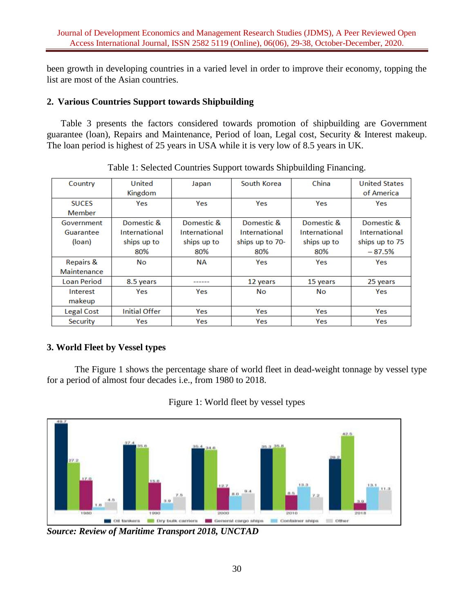been growth in developing countries in a varied level in order to improve their economy, topping the list are most of the Asian countries.

# **2. Various Countries Support towards Shipbuilding**

Table 3 presents the factors considered towards promotion of shipbuilding are Government guarantee (loan), Repairs and Maintenance, Period of loan, Legal cost, Security & Interest makeup. The loan period is highest of 25 years in USA while it is very low of 8.5 years in UK.

| Country              | United               | Japan         | South Korea     | China         | <b>United States</b> |
|----------------------|----------------------|---------------|-----------------|---------------|----------------------|
|                      | Kingdom              |               |                 |               | of America           |
| <b>SUCES</b>         | Yes                  | Yes           | Yes             | Yes           | Yes                  |
| <b>Member</b>        |                      |               |                 |               |                      |
| Government           | Domestic &           | Domestic &    | Domestic &      | Domestic &    | Domestic &           |
| Guarantee            | International        | International | International   | International | International        |
| (loan)               | ships up to          | ships up to   | ships up to 70- | ships up to   | ships up to 75       |
|                      | 80%                  | 80%           | 80%             | 80%           | $-87.5%$             |
| <b>Repairs &amp;</b> | No                   | ΝA            | Yes             | Yes           | Yes                  |
| Maintenance          |                      |               |                 |               |                      |
| <b>Loan Period</b>   | 8.5 years            |               | 12 years        | 15 years      | 25 years             |
| Interest             | Yes                  | Yes           | Nο              | No            | Yes                  |
| makeup               |                      |               |                 |               |                      |
| Legal Cost           | <b>Initial Offer</b> | Yes           | Yes             | Yes           | Yes                  |
| Security             | Yes                  | Yes           | Yes             | Yes           | Yes                  |

Table 1: Selected Countries Support towards Shipbuilding Financing.

# **3. World Fleet by Vessel types**

The Figure 1 shows the percentage share of world fleet in dead-weight tonnage by vessel type for a period of almost four decades i.e., from 1980 to 2018.



Figure 1: World fleet by vessel types

*Source: Review of Maritime Transport 2018, UNCTAD*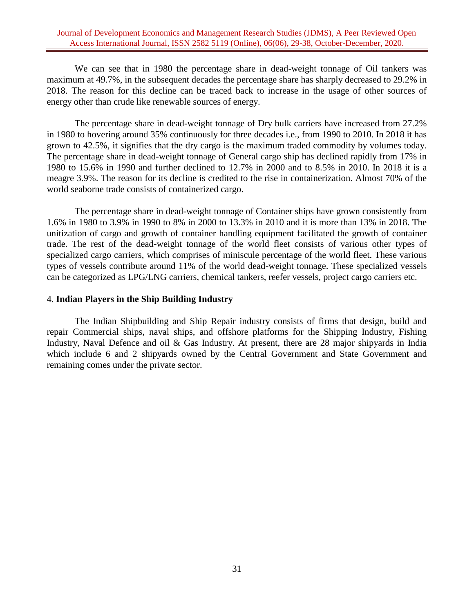We can see that in 1980 the percentage share in dead-weight tonnage of Oil tankers was maximum at 49.7%, in the subsequent decades the percentage share has sharply decreased to 29.2% in 2018. The reason for this decline can be traced back to increase in the usage of other sources of energy other than crude like renewable sources of energy.

The percentage share in dead-weight tonnage of Dry bulk carriers have increased from 27.2% in 1980 to hovering around 35% continuously for three decades i.e., from 1990 to 2010. In 2018 it has grown to 42.5%, it signifies that the dry cargo is the maximum traded commodity by volumes today. The percentage share in dead-weight tonnage of General cargo ship has declined rapidly from 17% in 1980 to 15.6% in 1990 and further declined to 12.7% in 2000 and to 8.5% in 2010. In 2018 it is a meagre 3.9%. The reason for its decline is credited to the rise in containerization. Almost 70% of the world seaborne trade consists of containerized cargo.

The percentage share in dead-weight tonnage of Container ships have grown consistently from 1.6% in 1980 to 3.9% in 1990 to 8% in 2000 to 13.3% in 2010 and it is more than 13% in 2018. The unitization of cargo and growth of container handling equipment facilitated the growth of container trade. The rest of the dead-weight tonnage of the world fleet consists of various other types of specialized cargo carriers, which comprises of miniscule percentage of the world fleet. These various types of vessels contribute around 11% of the world dead-weight tonnage. These specialized vessels can be categorized as LPG/LNG carriers, chemical tankers, reefer vessels, project cargo carriers etc.

#### 4. **Indian Players in the Ship Building Industry**

The Indian Shipbuilding and Ship Repair industry consists of firms that design, build and repair Commercial ships, naval ships, and offshore platforms for the Shipping Industry, Fishing Industry, Naval Defence and oil & Gas Industry. At present, there are 28 major shipyards in India which include 6 and 2 shipyards owned by the Central Government and State Government and remaining comes under the private sector.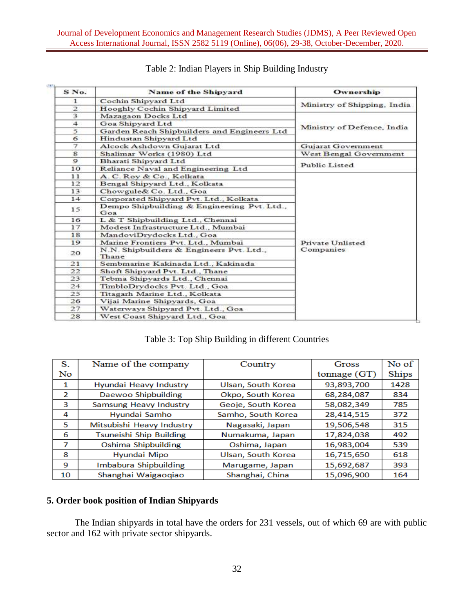| S No.          | Name of the Shipyard                               | Ownership                   |  |  |
|----------------|----------------------------------------------------|-----------------------------|--|--|
| 1              | Cochin Shipyard Ltd                                | Ministry of Shipping, India |  |  |
| $\mathbf{2}$   | Hooghly Cochin Shipyard Limited                    |                             |  |  |
| 3              | Mazagaon Docks Ltd                                 |                             |  |  |
| $\overline{4}$ | Goa Shipyard Ltd                                   |                             |  |  |
| 5              | Garden Reach Shipbuilders and Engineers Ltd        | Ministry of Defence, India  |  |  |
| 6              | Hindustan Shipyard Ltd                             |                             |  |  |
| 7              | Alcock Ashdown Gujarat Ltd                         | Gujarat Government          |  |  |
| $\mathbf{g}$   | Shalimar Works (1980) Ltd                          | West Bengal Government      |  |  |
| $\circ$        | Bharati Shipyard Ltd                               |                             |  |  |
| 10             | Reliance Naval and Engineering Ltd                 | Public Listed               |  |  |
| 11             | A. C. Roy & Co., Kolkata                           |                             |  |  |
| 12             | Bengal Shipyard Ltd., Kolkata                      |                             |  |  |
| 13             | Chowgule& Co. Ltd., Goa                            |                             |  |  |
| 14             | Corporated Shipyard Pvt. Ltd., Kolkata             |                             |  |  |
| 15             | Dempo Shipbuilding & Engineering Pvt. Ltd.,<br>Goa |                             |  |  |
| 16             | L & T Shipbuilding Ltd., Chennai                   |                             |  |  |
| 17             | Modest Infrastructure Ltd., Mumbai                 |                             |  |  |
| 18             | MandoviDrydocks Ltd., Goa                          |                             |  |  |
| 19             | Marine Frontiers Pvt. Ltd., Mumbai                 | Private Unlisted            |  |  |
| 20             | N.N. Shipbuilders & Engineers Pvt. Ltd.,<br>Thane  | Companies                   |  |  |
| 21             | Sembmarine Kakinada Ltd., Kakinada                 |                             |  |  |
| 22             | Shoft Shipyard Pvt. Ltd., Thane                    |                             |  |  |
| 23             | Tebma Shipyards Ltd., Chennai                      |                             |  |  |
| 24             | TimbloDrydocks Pvt. Ltd., Goa                      |                             |  |  |
| 25             | Titagarh Marine Ltd., Kolkata                      |                             |  |  |
| 26             | Vijai Marine Shipvards, Goa                        |                             |  |  |
| 27             | Waterways Shipyard Pvt. Ltd., Goa                  |                             |  |  |
| 28             | West Coast Shipyard Ltd., Goa                      |                             |  |  |

# Table 2: Indian Players in Ship Building Industry

## Table 3: Top Ship Building in different Countries

| S.             | Name of the company            | Country            | Gross          | No of |
|----------------|--------------------------------|--------------------|----------------|-------|
| No             |                                |                    | tonnage $(GT)$ | Ships |
| 1              | Hyundai Heavy Industry         | Ulsan, South Korea | 93,893,700     | 1428  |
| $\overline{2}$ | Daewoo Shipbuilding            | Okpo, South Korea  | 68,284,087     | 834   |
| 3              | Samsung Heavy Industry         | Geoje, South Korea | 58,082,349     | 785   |
| 4              | Hyundai Samho                  | Samho, South Korea | 28,414,515     | 372   |
| 5              | Mitsubishi Heavy Industry      | Nagasaki, Japan    | 19,506,548     | 315   |
| 6              | <b>Tsuneishi Ship Building</b> | Numakuma, Japan    | 17,824,038     | 492   |
| 7              | Oshima Shipbuilding            | Oshima, Japan      | 16,983,004     | 539   |
| 8              | Hyundai Mipo                   | Ulsan, South Korea | 16,715,650     | 618   |
| -9             | Imbabura Shipbuilding          | Marugame, Japan    | 15,692,687     | 393   |
| 10             | Shanghai Waigaoqiao            | Shanghai, China    | 15,096,900     | 164   |

## **5. Order book position of Indian Shipyards**

The Indian shipyards in total have the orders for 231 vessels, out of which 69 are with public sector and 162 with private sector shipyards.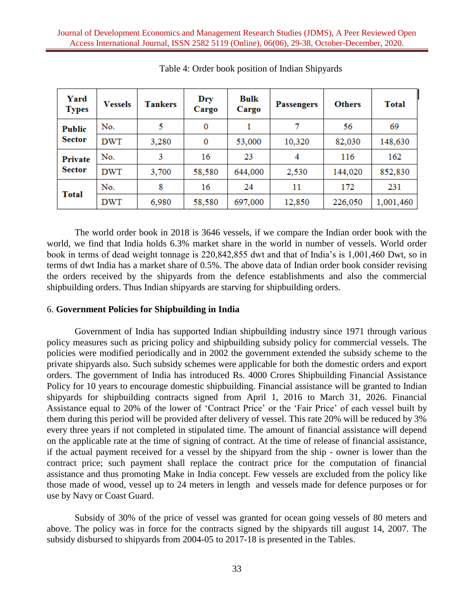| Yard<br><b>Types</b>            | <b>Vessels</b> | <b>Tankers</b> | Dry<br>Cargo | Bulk<br>Cargo | <b>Passengers</b> | <b>Others</b> | <b>Total</b> |
|---------------------------------|----------------|----------------|--------------|---------------|-------------------|---------------|--------------|
| <b>Public</b>                   | No.            | 5              | 0            |               | 7                 | 56            | 69           |
| Sector                          | <b>DWT</b>     | 3,280          | 0            | 53,000        | 10,320            | 82,030        | 148,630      |
| <b>Private</b><br><b>Sector</b> | No.            | 3              | 16           | 23            | 4                 | 116           | 162          |
|                                 | <b>DWT</b>     | 3,700          | 58,580       | 644,000       | 2,530             | 144,020       | 852,830      |
| <b>Total</b>                    | No.            | 8              | 16           | 24            | 11                | 172           | 231          |
|                                 | <b>DWT</b>     | 6,980          | 58,580       | 697,000       | 12,850            | 226,050       | 1,001,460    |

Table 4: Order book position of Indian Shipyards

The world order book in 2018 is 3646 vessels, if we compare the Indian order book with the world, we find that India holds 6.3% market share in the world in number of vessels. World order book in terms of dead weight tonnage is 220,842,855 dwt and that of India's is 1,001,460 Dwt, so in terms of dwt India has a market share of 0.5%. The above data of Indian order book consider revising the orders received by the shipyards from the defence establishments and also the commercial shipbuilding orders. Thus Indian shipyards are starving for shipbuilding orders.

#### 6. **Government Policies for Shipbuilding in India**

Government of India has supported Indian shipbuilding industry since 1971 through various policy measures such as pricing policy and shipbuilding subsidy policy for commercial vessels. The policies were modified periodically and in 2002 the government extended the subsidy scheme to the private shipyards also. Such subsidy schemes were applicable for both the domestic orders and export orders. The government of India has introduced Rs. 4000 Crores Shipbuilding Financial Assistance Policy for 10 years to encourage domestic shipbuilding. Financial assistance will be granted to Indian shipyards for shipbuilding contracts signed from April 1, 2016 to March 31, 2026. Financial Assistance equal to 20% of the lower of 'Contract Price' or the 'Fair Price' of each vessel built by them during this period will be provided after delivery of vessel. This rate 20% will be reduced by 3% every three years if not completed in stipulated time. The amount of financial assistance will depend on the applicable rate at the time of signing of contract. At the time of release of financial assistance, if the actual payment received for a vessel by the shipyard from the ship - owner is lower than the contract price; such payment shall replace the contract price for the computation of financial assistance and thus promoting Make in India concept. Few vessels are excluded from the policy like those made of wood, vessel up to 24 meters in length and vessels made for defence purposes or for use by Navy or Coast Guard.

Subsidy of 30% of the price of vessel was granted for ocean going vessels of 80 meters and above. The policy was in force for the contracts signed by the shipyards till august 14, 2007. The subsidy disbursed to shipyards from 2004-05 to 2017-18 is presented in the Tables.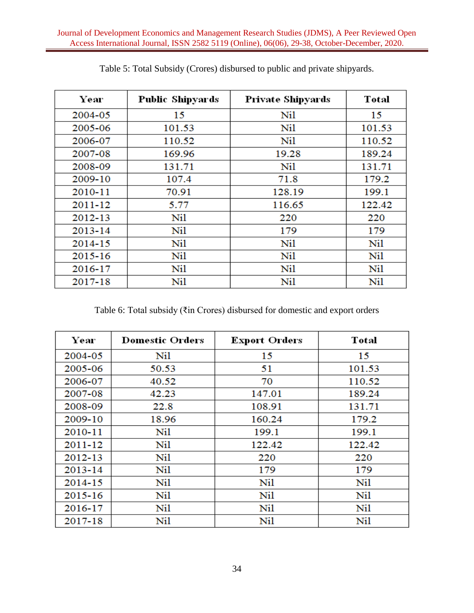| Year    | Public Shipyards | <b>Private Shipyards</b> | Total  |
|---------|------------------|--------------------------|--------|
| 2004-05 | 15               | Nil                      | 15     |
| 2005-06 | 101.53           | Nil                      | 101.53 |
| 2006-07 | 110.52           | Nil                      | 110.52 |
| 2007-08 | 169.96           | 19.28                    | 189.24 |
| 2008-09 | 131.71           | Nil                      | 131.71 |
| 2009-10 | 107.4            | 71.8                     | 179.2  |
| 2010-11 | 70.91            | 128.19                   | 199.1  |
| 2011-12 | 5.77             | 116.65                   | 122.42 |
| 2012-13 | Nil              | 220                      | 220    |
| 2013-14 | Nil              | 179                      | 179    |
| 2014-15 | Nil              | Nil                      | Nil    |
| 2015-16 | Nil              | Nil                      | Nil    |
| 2016-17 | Nil              | Nil                      | Nil    |
| 2017-18 | Nil              | Nil                      | Nil    |

Table 5: Total Subsidy (Crores) disbursed to public and private shipyards.

Table 6: Total subsidy (₹in Crores) disbursed for domestic and export orders

| Year        | <b>Domestic Orders</b> | <b>Export Orders</b> | Total  |
|-------------|------------------------|----------------------|--------|
| 2004-05     | Nil                    | 15                   | 15     |
| 2005-06     | 50.53                  | 51                   | 101.53 |
| 2006-07     | 40.52                  | 70                   | 110.52 |
| 2007-08     | 42.23                  | 147.01               | 189.24 |
| 2008-09     | 22.8                   | 108.91               | 131.71 |
| 2009-10     | 18.96                  | 160.24               | 179.2  |
| 2010-11     | Nil                    | 199.1                | 199.1  |
| 2011-12     | Nil                    | 122.42               | 122.42 |
| $2012 - 13$ | Nil                    | 220                  | 220    |
| $2013 - 14$ | Nil                    | 179                  | 179    |
| 2014-15     | Nil                    | Nil                  | Nil    |
| 2015-16     | Nil                    | Nil                  | Nil    |
| 2016-17     | Nil                    | Nil                  | Nil    |
| 2017-18     | Nil                    | Nil                  | Nil    |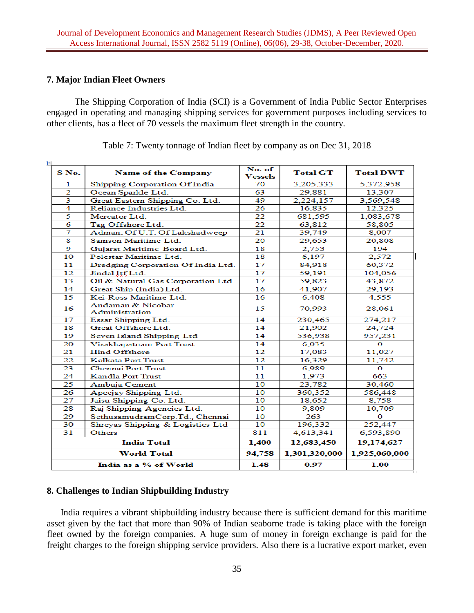## **7. Major Indian Fleet Owners**

The Shipping Corporation of India (SCI) is a Government of India Public Sector Enterprises engaged in operating and managing shipping services for government purposes including services to other clients, has a fleet of 70 vessels the maximum fleet strength in the country.

| ŧ۱<br>S No. | <b>Name of the Company</b>          | No. of<br>Vessels | <b>Total GT</b> | <b>Total DWT</b> |
|-------------|-------------------------------------|-------------------|-----------------|------------------|
| 1           | Shipping Corporation Of India       | 70                | 3,205,333       | 5,372,958        |
| 2           | Ocean Sparkle Ltd.                  | 63                | 29,881          | 13,307           |
| 3           | Great Eastern Shipping Co. Ltd.     | 49                | 2,224,157       | 3,569,548        |
| 4           | Reliance Industries Ltd.            | 26                | 16,835          | 12,325           |
| 5           | Mercator Ltd                        | 22                | 681,595         | 1,083,678        |
| 6           | Tag Offshore Ltd.                   | 22                | 63,812          | 58,805           |
| 7           | Adman. Of U.T. Of Lakshadweep       | 21                | 39,749          | 8,007            |
| 8           | Samson Maritime Ltd.                | 20                | 29,653          | 20,808           |
| 9           | Gujarat Maritime Board Ltd.         | 18                | 2,753           | 194              |
| 10          | Polestar Maritime Ltd.              | 18                | 6,197           | 2,572            |
| 11          | Dredging Corporation Of India Ltd.  | 17                | 84,918          | 60,372           |
| 12          | Jindal Itf Ltd.                     | 17                | 59,191          | 104,056          |
| 13          | Oil & Natural Gas Corporation Ltd.  | 17                | 59,823          | 43,872           |
| 14          | Great Ship (India) Ltd.             | 16                | 41,907          | 29,193           |
| 15          | Kei-Ross Maritime Ltd.              | 16                | 6,408           | 4,555            |
| 16          | Andaman & Nicobar<br>Administration | 15                | 70,993          | 28,061           |
| 17          | Essar Shipping Ltd.                 | 14                | 230,465         | 274,217          |
| 18          | Great Offshore Ltd.                 | 14                | 21,902          | 24,724           |
| 19          | Seven Island Shipping Ltd           | 14                | 536,938         | 957,231          |
| 20          | Visakhapatnam Port Trust            | 14                | 6,035           | о                |
| 21          | <b>Hind Offshore</b>                | 12                | 17,083          | 11,027           |
| 22          | <b>Kolkata Port Trust</b>           | 12                | 16,329          | 11,742           |
| 23          | <b>Chennai Port Trust</b>           | 11                | 6,989           | 0                |
| 24          | <b>Kandla Port Trust</b>            | 11                | 1,973           | 663              |
| 25          | Ambuja Cement                       | 10                | 23,782          | 30,460           |
| 26          | Apeejay Shipping Ltd.               | 10                | 360,352         | 586,448          |
| 27          | Jaisu Shipping Co. Ltd.             | 10                | 18,652          | 8,758            |
| 28          | Raj Shipping Agencies Ltd.          | 10                | 9,809           | 10,709           |
| 29          | SethusamudramCorp.Td., Chennai      | 10                | 263             | 0                |
| 30          | Shreyas Shipping & Logistics Ltd    | 10                | 196,332         | 252,447          |
| 31          | Others                              | 811               | 4,613,341       | 6,593,890        |
|             | <b>India Total</b>                  | 1,400             | 12,683,450      | 19,174,627       |
|             | <b>World Total</b>                  | 94,758            | 1,301,320,000   | 1,925,060,000    |
|             | India as a % of World               | 1.48              | 0.97            | 1.00             |

Table 7: Twenty tonnage of Indian fleet by company as on Dec 31, 2018

### **8. Challenges to Indian Shipbuilding Industry**

India requires a vibrant shipbuilding industry because there is sufficient demand for this maritime asset given by the fact that more than 90% of Indian seaborne trade is taking place with the foreign fleet owned by the foreign companies. A huge sum of money in foreign exchange is paid for the freight charges to the foreign shipping service providers. Also there is a lucrative export market, even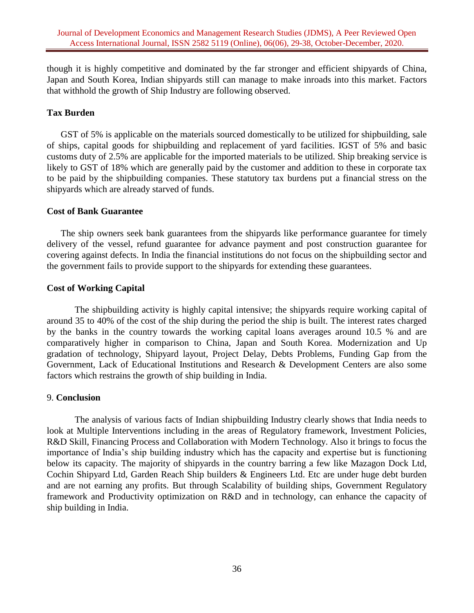though it is highly competitive and dominated by the far stronger and efficient shipyards of China, Japan and South Korea, Indian shipyards still can manage to make inroads into this market. Factors that withhold the growth of Ship Industry are following observed.

## **Tax Burden**

GST of 5% is applicable on the materials sourced domestically to be utilized for shipbuilding, sale of ships, capital goods for shipbuilding and replacement of yard facilities. IGST of 5% and basic customs duty of 2.5% are applicable for the imported materials to be utilized. Ship breaking service is likely to GST of 18% which are generally paid by the customer and addition to these in corporate tax to be paid by the shipbuilding companies. These statutory tax burdens put a financial stress on the shipyards which are already starved of funds.

### **Cost of Bank Guarantee**

The ship owners seek bank guarantees from the shipyards like performance guarantee for timely delivery of the vessel, refund guarantee for advance payment and post construction guarantee for covering against defects. In India the financial institutions do not focus on the shipbuilding sector and the government fails to provide support to the shipyards for extending these guarantees.

### **Cost of Working Capital**

The shipbuilding activity is highly capital intensive; the shipyards require working capital of around 35 to 40% of the cost of the ship during the period the ship is built. The interest rates charged by the banks in the country towards the working capital loans averages around 10.5 % and are comparatively higher in comparison to China, Japan and South Korea. Modernization and Up gradation of technology, Shipyard layout, Project Delay, Debts Problems, Funding Gap from the Government, Lack of Educational Institutions and Research & Development Centers are also some factors which restrains the growth of ship building in India.

### 9. **Conclusion**

The analysis of various facts of Indian shipbuilding Industry clearly shows that India needs to look at Multiple Interventions including in the areas of Regulatory framework, Investment Policies, R&D Skill, Financing Process and Collaboration with Modern Technology. Also it brings to focus the importance of India's ship building industry which has the capacity and expertise but is functioning below its capacity. The majority of shipyards in the country barring a few like Mazagon Dock Ltd, Cochin Shipyard Ltd, Garden Reach Ship builders & Engineers Ltd. Etc are under huge debt burden and are not earning any profits. But through Scalability of building ships, Government Regulatory framework and Productivity optimization on R&D and in technology, can enhance the capacity of ship building in India.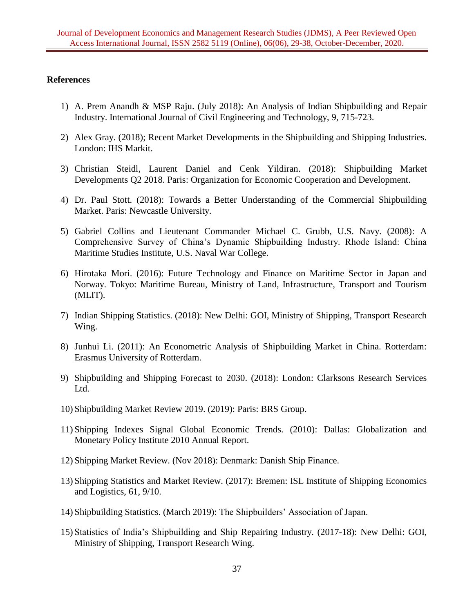#### **References**

- 1) A. Prem Anandh & MSP Raju. (July 2018): An Analysis of Indian Shipbuilding and Repair Industry. International Journal of Civil Engineering and Technology, 9, 715-723.
- 2) Alex Gray. (2018); Recent Market Developments in the Shipbuilding and Shipping Industries. London: IHS Markit.
- 3) Christian Steidl, Laurent Daniel and Cenk Yildiran. (2018): Shipbuilding Market Developments Q2 2018. Paris: Organization for Economic Cooperation and Development.
- 4) Dr. Paul Stott. (2018): Towards a Better Understanding of the Commercial Shipbuilding Market. Paris: Newcastle University.
- 5) Gabriel Collins and Lieutenant Commander Michael C. Grubb, U.S. Navy. (2008): A Comprehensive Survey of China's Dynamic Shipbuilding Industry. Rhode Island: China Maritime Studies Institute, U.S. Naval War College.
- 6) Hirotaka Mori. (2016): Future Technology and Finance on Maritime Sector in Japan and Norway. Tokyo: Maritime Bureau, Ministry of Land, Infrastructure, Transport and Tourism (MLIT).
- 7) Indian Shipping Statistics. (2018): New Delhi: GOI, Ministry of Shipping, Transport Research Wing.
- 8) Junhui Li. (2011): An Econometric Analysis of Shipbuilding Market in China. Rotterdam: Erasmus University of Rotterdam.
- 9) Shipbuilding and Shipping Forecast to 2030. (2018): London: Clarksons Research Services Ltd.
- 10) Shipbuilding Market Review 2019. (2019): Paris: BRS Group.
- 11) Shipping Indexes Signal Global Economic Trends. (2010): Dallas: Globalization and Monetary Policy Institute 2010 Annual Report.
- 12) Shipping Market Review. (Nov 2018): Denmark: Danish Ship Finance.
- 13) Shipping Statistics and Market Review. (2017): Bremen: ISL Institute of Shipping Economics and Logistics, 61, 9/10.
- 14) Shipbuilding Statistics. (March 2019): The Shipbuilders' Association of Japan.
- 15) Statistics of India's Shipbuilding and Ship Repairing Industry. (2017-18): New Delhi: GOI, Ministry of Shipping, Transport Research Wing.